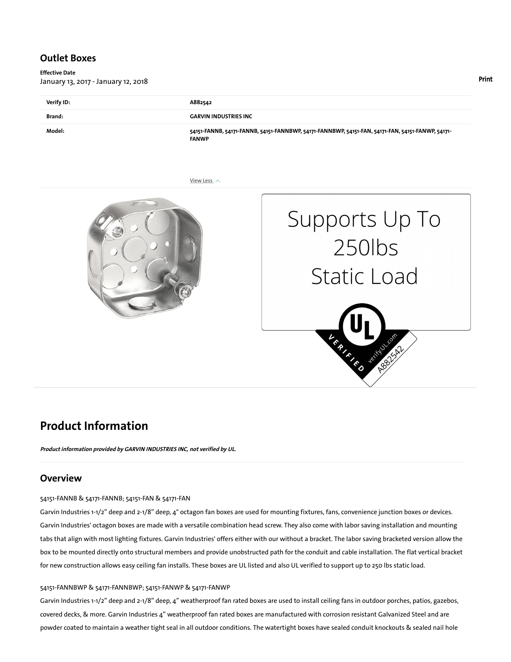### Outlet Boxes

Effective Date January 13, 2017 - January 12, 2018

| Verify ID: | A882542                                                                                                           |
|------------|-------------------------------------------------------------------------------------------------------------------|
| Brand:     | <b>GARVIN INDUSTRIES INC</b>                                                                                      |
| Model:     | 54151-FANNB, 54171-FANNB, 54151-FANNBWP, 54171-FANNBWP, 54151-FAN, 54171-FAN, 54151-FANWP, 54171-<br><b>FANWP</b> |

View Less  $\wedge$ 





# Product Information

Product information provided by GARVIN INDUSTRIES INC, not verified by UL.

### **Overview**

54151-FANNB & 54171-FANNB; 54151-FAN & 54171-FAN

Garvin Industries 1-1/2" deep and 2-1/8" deep, 4" octagon fan boxes are used for mounting fixtures, fans, convenience junction boxes or devices. Garvin Industries' octagon boxes are made with a versatile combination head screw. They also come with labor saving installation and mounting tabs that align with most lighting fixtures. Garvin Industries' offers either with our without a bracket. The labor saving bracketed version allow the box to be mounted directly onto structural members and provide unobstructed path for the conduit and cable installation. The flat vertical bracket for new construction allows easy ceiling fan installs. These boxes are UL listed and also UL verified to support up to 250 lbs static load.

#### 54151-FANNBWP & 54171-FANNBWP; 54151-FANWP & 54171-FANWP

Garvin Industries 1-1/2" deep and 2-1/8" deep, 4" weatherproof fan rated boxes are used to install ceiling fans in outdoor porches, patios, gazebos, covered decks, & more. Garvin Industries 4" weatherproof fan rated boxes are manufactured with corrosion resistant Galvanized Steel and are powder coated to maintain a weather tight seal in all outdoor conditions. The watertight boxes have sealed conduit knockouts & sealed nail hole